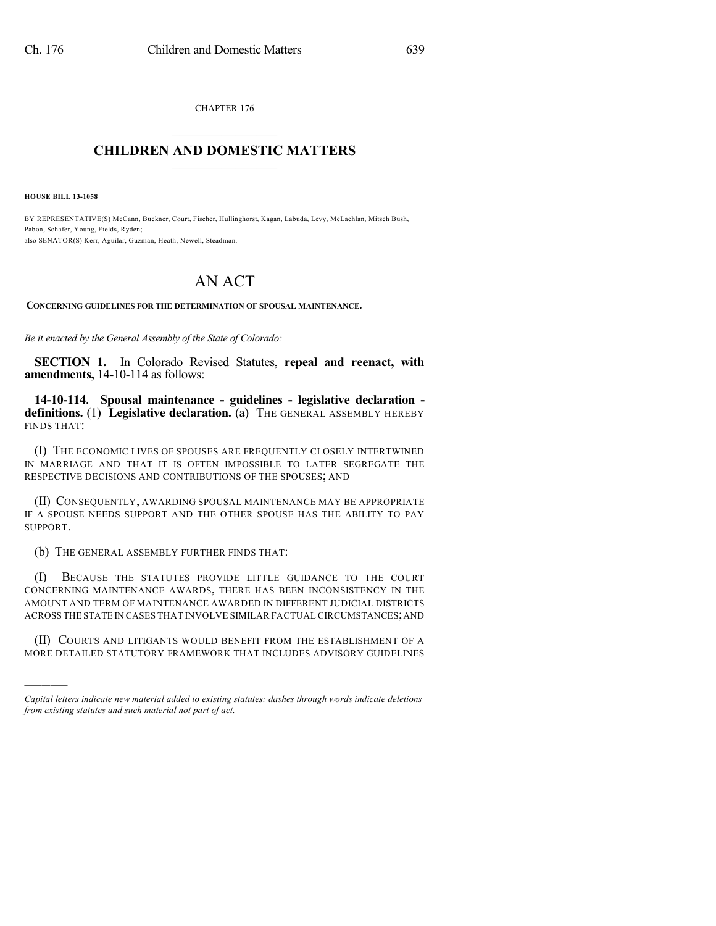CHAPTER 176  $\overline{\phantom{a}}$  . The set of the set of the set of the set of the set of the set of the set of the set of the set of the set of the set of the set of the set of the set of the set of the set of the set of the set of the set o

## **CHILDREN AND DOMESTIC MATTERS**  $\_$

**HOUSE BILL 13-1058**

)))))

BY REPRESENTATIVE(S) McCann, Buckner, Court, Fischer, Hullinghorst, Kagan, Labuda, Levy, McLachlan, Mitsch Bush, Pabon, Schafer, Young, Fields, Ryden; also SENATOR(S) Kerr, Aguilar, Guzman, Heath, Newell, Steadman.

## AN ACT

**CONCERNING GUIDELINES FOR THE DETERMINATION OF SPOUSAL MAINTENANCE.**

*Be it enacted by the General Assembly of the State of Colorado:*

**SECTION 1.** In Colorado Revised Statutes, **repeal and reenact, with amendments,** 14-10-114 as follows:

**14-10-114. Spousal maintenance - guidelines - legislative declaration definitions.** (1) **Legislative declaration.** (a) THE GENERAL ASSEMBLY HEREBY FINDS THAT:

(I) THE ECONOMIC LIVES OF SPOUSES ARE FREQUENTLY CLOSELY INTERTWINED IN MARRIAGE AND THAT IT IS OFTEN IMPOSSIBLE TO LATER SEGREGATE THE RESPECTIVE DECISIONS AND CONTRIBUTIONS OF THE SPOUSES; AND

(II) CONSEQUENTLY, AWARDING SPOUSAL MAINTENANCE MAY BE APPROPRIATE IF A SPOUSE NEEDS SUPPORT AND THE OTHER SPOUSE HAS THE ABILITY TO PAY SUPPORT.

(b) THE GENERAL ASSEMBLY FURTHER FINDS THAT:

(I) BECAUSE THE STATUTES PROVIDE LITTLE GUIDANCE TO THE COURT CONCERNING MAINTENANCE AWARDS, THERE HAS BEEN INCONSISTENCY IN THE AMOUNT AND TERM OF MAINTENANCE AWARDED IN DIFFERENT JUDICIAL DISTRICTS ACROSS THE STATE IN CASES THAT INVOLVE SIMILAR FACTUAL CIRCUMSTANCES;AND

(II) COURTS AND LITIGANTS WOULD BENEFIT FROM THE ESTABLISHMENT OF A MORE DETAILED STATUTORY FRAMEWORK THAT INCLUDES ADVISORY GUIDELINES

*Capital letters indicate new material added to existing statutes; dashes through words indicate deletions from existing statutes and such material not part of act.*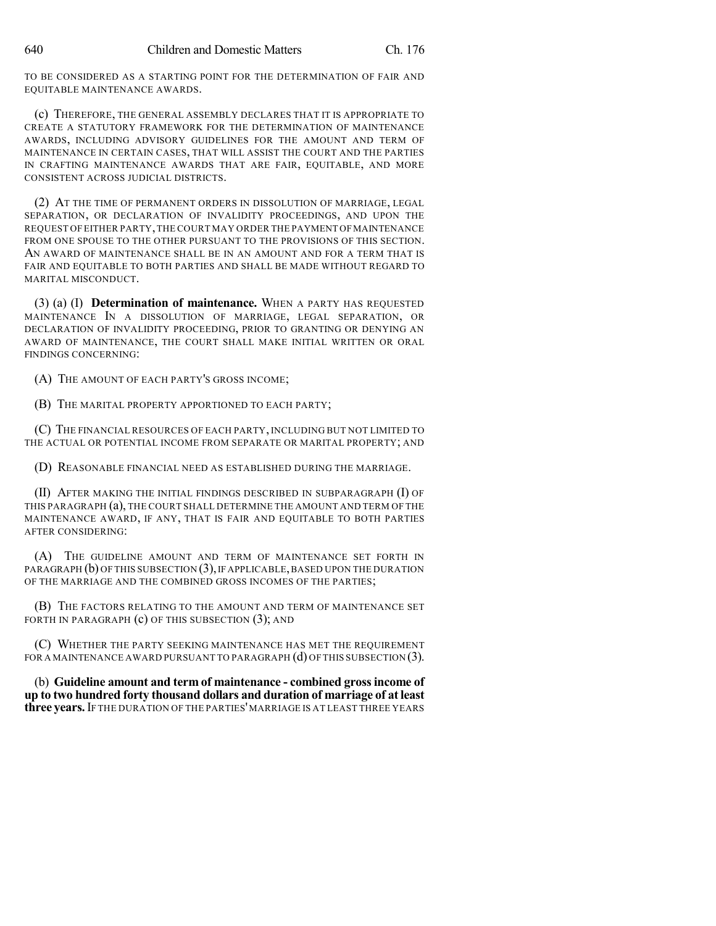TO BE CONSIDERED AS A STARTING POINT FOR THE DETERMINATION OF FAIR AND EQUITABLE MAINTENANCE AWARDS.

(c) THEREFORE, THE GENERAL ASSEMBLY DECLARES THAT IT IS APPROPRIATE TO CREATE A STATUTORY FRAMEWORK FOR THE DETERMINATION OF MAINTENANCE AWARDS, INCLUDING ADVISORY GUIDELINES FOR THE AMOUNT AND TERM OF MAINTENANCE IN CERTAIN CASES, THAT WILL ASSIST THE COURT AND THE PARTIES IN CRAFTING MAINTENANCE AWARDS THAT ARE FAIR, EQUITABLE, AND MORE CONSISTENT ACROSS JUDICIAL DISTRICTS.

(2) AT THE TIME OF PERMANENT ORDERS IN DISSOLUTION OF MARRIAGE, LEGAL SEPARATION, OR DECLARATION OF INVALIDITY PROCEEDINGS, AND UPON THE REQUEST OF EITHER PARTY, THE COURT MAY ORDER THE PAYMENT OF MAINTENANCE FROM ONE SPOUSE TO THE OTHER PURSUANT TO THE PROVISIONS OF THIS SECTION. AN AWARD OF MAINTENANCE SHALL BE IN AN AMOUNT AND FOR A TERM THAT IS FAIR AND EQUITABLE TO BOTH PARTIES AND SHALL BE MADE WITHOUT REGARD TO MARITAL MISCONDUCT.

(3) (a) (I) **Determination of maintenance.** WHEN A PARTY HAS REQUESTED MAINTENANCE IN A DISSOLUTION OF MARRIAGE, LEGAL SEPARATION, OR DECLARATION OF INVALIDITY PROCEEDING, PRIOR TO GRANTING OR DENYING AN AWARD OF MAINTENANCE, THE COURT SHALL MAKE INITIAL WRITTEN OR ORAL FINDINGS CONCERNING:

(A) THE AMOUNT OF EACH PARTY'S GROSS INCOME;

(B) THE MARITAL PROPERTY APPORTIONED TO EACH PARTY;

(C) THE FINANCIAL RESOURCES OF EACH PARTY, INCLUDING BUT NOT LIMITED TO THE ACTUAL OR POTENTIAL INCOME FROM SEPARATE OR MARITAL PROPERTY; AND

(D) REASONABLE FINANCIAL NEED AS ESTABLISHED DURING THE MARRIAGE.

(II) AFTER MAKING THE INITIAL FINDINGS DESCRIBED IN SUBPARAGRAPH (I) OF THIS PARAGRAPH (a), THE COURT SHALL DETERMINE THE AMOUNT AND TERM OF THE MAINTENANCE AWARD, IF ANY, THAT IS FAIR AND EQUITABLE TO BOTH PARTIES AFTER CONSIDERING:

(A) THE GUIDELINE AMOUNT AND TERM OF MAINTENANCE SET FORTH IN PARAGRAPH  $(b)$  OF THIS SUBSECTION  $(3)$ , IF APPLICABLE, BASED UPON THE DURATION OF THE MARRIAGE AND THE COMBINED GROSS INCOMES OF THE PARTIES;

(B) THE FACTORS RELATING TO THE AMOUNT AND TERM OF MAINTENANCE SET FORTH IN PARAGRAPH  $(c)$  OF THIS SUBSECTION  $(3)$ ; AND

(C) WHETHER THE PARTY SEEKING MAINTENANCE HAS MET THE REQUIREMENT FOR A MAINTENANCE AWARD PURSUANT TO PARAGRAPH  $(d)$  OF THIS SUBSECTION  $(3)$ .

(b) **Guideline amount and term of maintenance - combined grossincome of up to two hundred forty thousand dollars and duration of marriage of atleast three years.**IF THE DURATION OF THE PARTIES'MARRIAGE IS AT LEAST THREE YEARS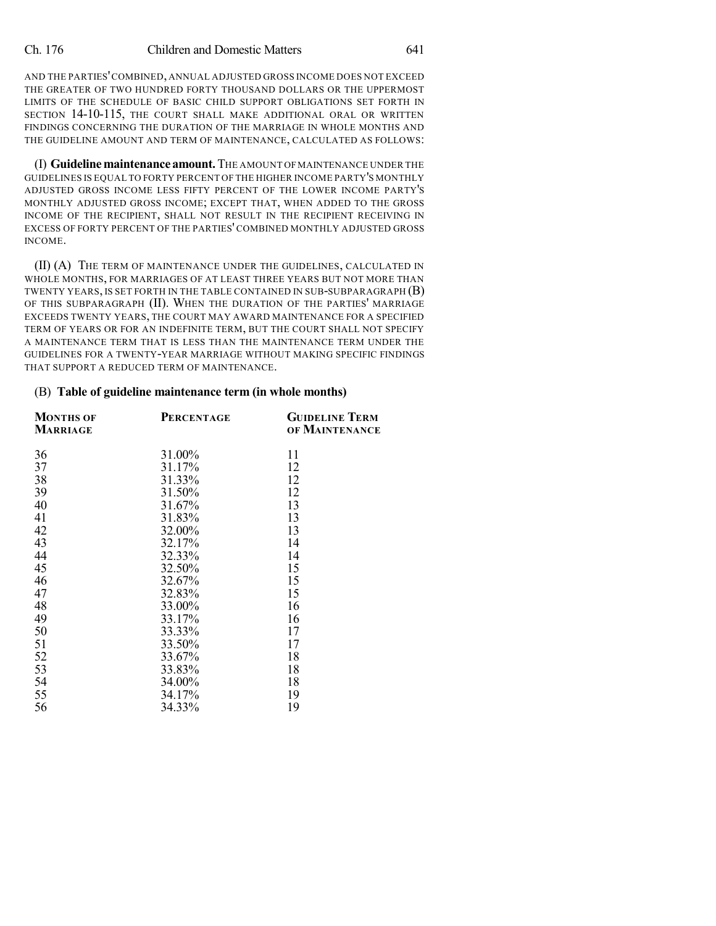AND THE PARTIES'COMBINED, ANNUAL ADJUSTED GROSS INCOME DOES NOT EXCEED THE GREATER OF TWO HUNDRED FORTY THOUSAND DOLLARS OR THE UPPERMOST LIMITS OF THE SCHEDULE OF BASIC CHILD SUPPORT OBLIGATIONS SET FORTH IN SECTION 14-10-115, THE COURT SHALL MAKE ADDITIONAL ORAL OR WRITTEN FINDINGS CONCERNING THE DURATION OF THE MARRIAGE IN WHOLE MONTHS AND THE GUIDELINE AMOUNT AND TERM OF MAINTENANCE, CALCULATED AS FOLLOWS:

(I) **Guidelinemaintenance amount.**THE AMOUNT OFMAINTENANCE UNDER THE GUIDELINES IS EQUAL TO FORTY PERCENT OF THE HIGHER INCOME PARTY'S MONTHLY ADJUSTED GROSS INCOME LESS FIFTY PERCENT OF THE LOWER INCOME PARTY'S MONTHLY ADJUSTED GROSS INCOME; EXCEPT THAT, WHEN ADDED TO THE GROSS INCOME OF THE RECIPIENT, SHALL NOT RESULT IN THE RECIPIENT RECEIVING IN EXCESS OF FORTY PERCENT OF THE PARTIES' COMBINED MONTHLY ADJUSTED GROSS INCOME.

(II) (A) THE TERM OF MAINTENANCE UNDER THE GUIDELINES, CALCULATED IN WHOLE MONTHS, FOR MARRIAGES OF AT LEAST THREE YEARS BUT NOT MORE THAN TWENTY YEARS, IS SET FORTH IN THE TABLE CONTAINED IN SUB-SUBPARAGRAPH (B) OF THIS SUBPARAGRAPH (II). WHEN THE DURATION OF THE PARTIES' MARRIAGE EXCEEDS TWENTY YEARS, THE COURT MAY AWARD MAINTENANCE FOR A SPECIFIED TERM OF YEARS OR FOR AN INDEFINITE TERM, BUT THE COURT SHALL NOT SPECIFY A MAINTENANCE TERM THAT IS LESS THAN THE MAINTENANCE TERM UNDER THE GUIDELINES FOR A TWENTY-YEAR MARRIAGE WITHOUT MAKING SPECIFIC FINDINGS THAT SUPPORT A REDUCED TERM OF MAINTENANCE.

## (B) **Table of guideline maintenance term (in whole months)**

| <b>MONTHS OF</b><br><b>MARRIAGE</b> | <b>PERCENTAGE</b> | <b>GUIDELINE TERM</b><br>OF MAINTENANCE |
|-------------------------------------|-------------------|-----------------------------------------|
| 36                                  | 31.00%            | 11                                      |
| 37                                  | 31.17%            | 12                                      |
| 38                                  | 31.33%            | 12                                      |
| 39                                  | 31.50%            | 12                                      |
| 40                                  | 31.67%            | 13                                      |
| 41                                  | 31.83%            | 13                                      |
| 42                                  | 32.00%            | 13                                      |
| 43                                  | 32.17%            | 14                                      |
| 44                                  | 32.33%            | 14                                      |
| 45                                  | 32.50%            | 15                                      |
| 46                                  | 32.67%            | 15                                      |
| 47                                  | 32.83%            | 15                                      |
| 48                                  | 33.00%            | 16                                      |
| 49                                  | 33.17%            | 16                                      |
| 50                                  | 33.33%            | 17                                      |
| 51                                  | 33.50%            | 17                                      |
| 52                                  | 33.67%            | 18                                      |
| 53                                  | 33.83%            | 18                                      |
| 54                                  | 34.00%            | 18                                      |
| 55                                  | 34.17%            | 19                                      |
| 56                                  | 34.33%            | 19                                      |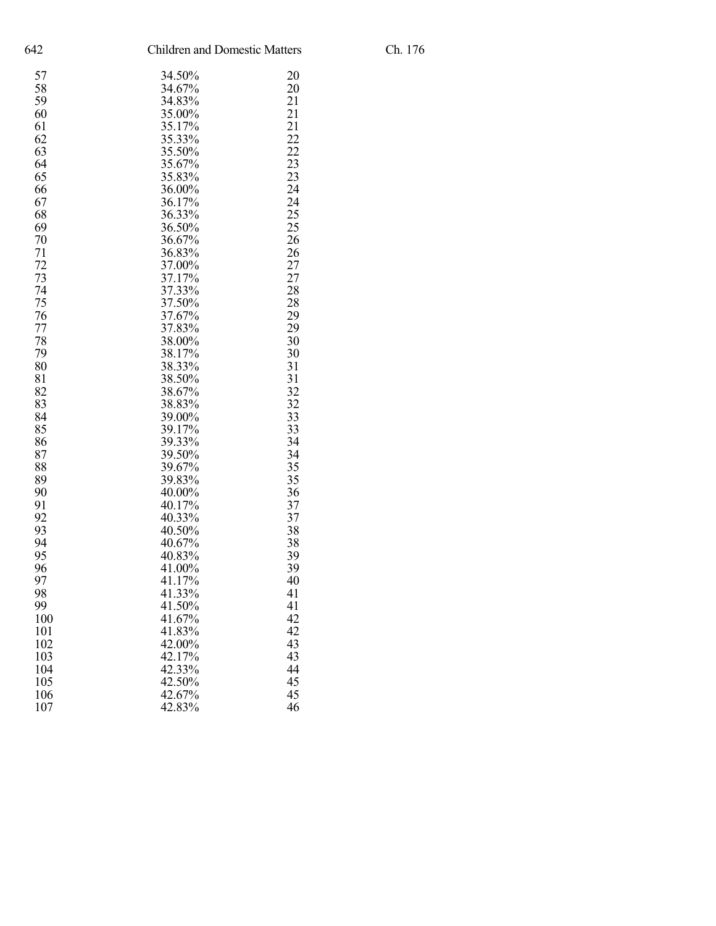| 642 |        | <b>Children and Domestic Matters</b> |  |
|-----|--------|--------------------------------------|--|
| 57  | 34.50% | 20                                   |  |
| 58  | 34.67% | 20                                   |  |
| 59  | 34.83% | 21                                   |  |
| 60  | 35.00% | 21                                   |  |
| 61  | 35.17% | 21                                   |  |
| 62  | 35.33% | 22                                   |  |
| 63  | 35.50% | 22                                   |  |
| 64  | 35.67% | 23                                   |  |
| 65  | 35.83% | 23                                   |  |
| 66  | 36.00% | 24                                   |  |
| 67  | 36.17% | 24                                   |  |
| 68  | 36.33% | 25                                   |  |
| 69  | 36.50% | 25                                   |  |
| 70  | 36.67% | 26                                   |  |
| 71  | 36.83% | 26                                   |  |
| 72  | 37.00% | 27                                   |  |
| 73  | 37.17% | 27                                   |  |
| 74  | 37.33% | 28                                   |  |
| 75  | 37.50% | 28                                   |  |
| 76  | 37.67% | 29                                   |  |
| 77  | 37.83% | 29                                   |  |
| 78  | 38.00% | 30                                   |  |
| 79  | 38.17% | 30                                   |  |
| 80  | 38.33% | 31                                   |  |
| 81  | 38.50% | 31                                   |  |
| 82  | 38.67% | 32                                   |  |
| 83  | 38.83% | 32                                   |  |
| 84  | 39.00% | 33                                   |  |
| 85  | 39.17% | 33                                   |  |
| 86  | 39.33% | 34                                   |  |
| 87  | 39.50% | 34                                   |  |
| 88  | 39.67% | 35                                   |  |
| 89  | 39.83% | 35                                   |  |
| 90  | 40.00% | 36                                   |  |
| 91  | 40.17% | 37                                   |  |
| 92  | 40.33% | 37                                   |  |
| 93  | 40.50% | 38                                   |  |
| 94  | 40.67% | 38                                   |  |
| 95  | 40.83% | 39                                   |  |
| 96  | 41.00% | 39                                   |  |
| 97  | 41.17% | 40                                   |  |
| 98  | 41.33% | 41                                   |  |
| 99  | 41.50% | 41                                   |  |
| 100 | 41.67% | 42                                   |  |
| 101 | 41.83% | 42                                   |  |
| 102 | 42.00% | 43                                   |  |
| 103 | 42.17% | 43                                   |  |
| 104 | 42.33% | 44                                   |  |
| 105 | 42.50% | 45                                   |  |
| 106 | 42.67% | 45                                   |  |
| 107 | 42.83% | 46                                   |  |
|     |        |                                      |  |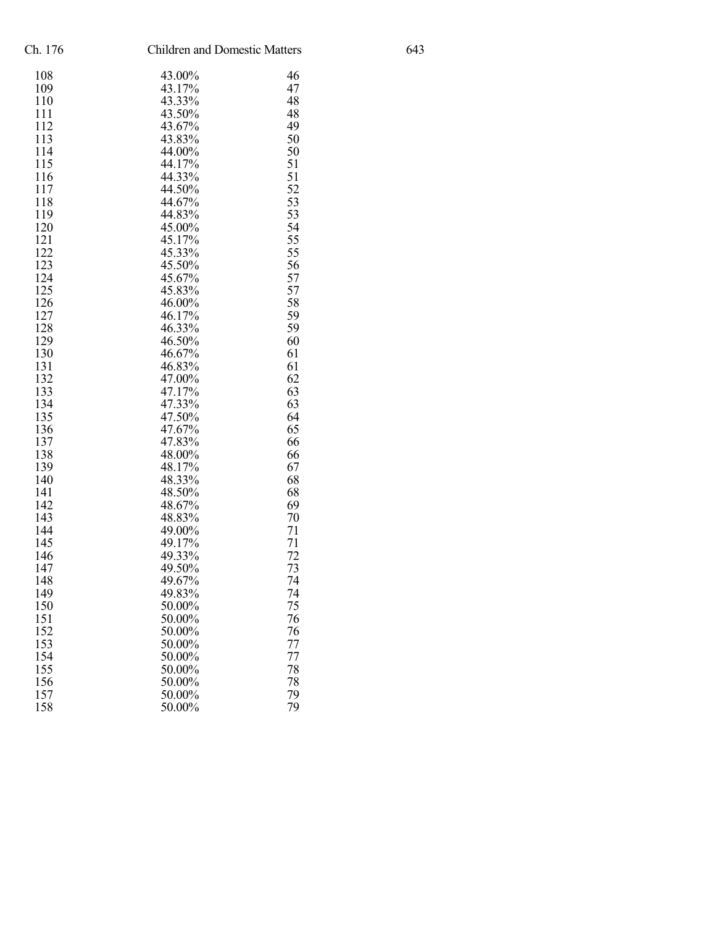| Ch. 176 | <b>Children and Domestic Matters</b> |    |
|---------|--------------------------------------|----|
| 108     | 43.00%                               | 46 |
| 109     | 43.17%                               | 47 |
| 110     | 43.33%                               | 48 |
| 111     | 43.50%                               | 48 |
| 112     | 43.67%                               | 49 |
| 113     | 43.83%                               | 50 |
| 114     | 44.00%                               | 50 |
| 115     | 44.17%                               | 51 |
| 116     | 44.33%                               | 51 |
| 117     | 44.50%                               | 52 |
| 118     | 44.67%                               | 53 |
| 119     | 44.83%                               | 53 |
| 120     | 45.00%                               | 54 |
| 121     | 45.17%                               | 55 |
| 122     | 45.33%                               | 55 |
| 123     | 45.50%                               | 56 |
| 124     | 45.67%                               | 57 |
| 125     | 45.83%                               | 57 |
| 126     | 46.00%                               | 58 |
| 127     | 46.17%                               | 59 |
| 128     | 46.33%                               | 59 |
| 129     | 46.50%                               | 60 |
| 130     | 46.67%                               | 61 |
| 131     | 46.83%                               | 61 |
| 132     | 47.00%                               | 62 |
| 133     | 47.17%                               | 63 |
| 134     | 47.33%                               | 63 |
| 135     | 47.50%                               | 64 |
| 136     | 47.67%                               | 65 |
| 137     | 47.83%                               | 66 |
| 138     | 48.00%                               | 66 |
| 139     | 48.17%                               | 67 |
| 140     | 48.33%                               | 68 |
| 141     | 48.50%                               | 68 |
| 142     | 48.67%                               | 69 |
| 143     | 48.83%                               | 70 |
| 144     | 49.00%                               | 71 |
| 145     | 49.17%                               | 71 |
| 146     | 49.33%                               | 72 |
| 147     | 49.50%                               | 73 |
| 148     | 49.67%                               | 74 |
| 149     | 49.83%                               | 74 |
| 150     | 50.00%                               | 75 |
| 151     | 50.00%                               | 76 |
| 152     | 50.00%                               | 76 |
| 153     | 50.00%                               | 77 |
| 154     | 50.00%                               | 77 |
| 155     | 50.00%                               | 78 |
| 156     | 50.00%                               | 78 |
| 157     | 50.00%                               | 79 |
| 158     | 50.00%                               | 79 |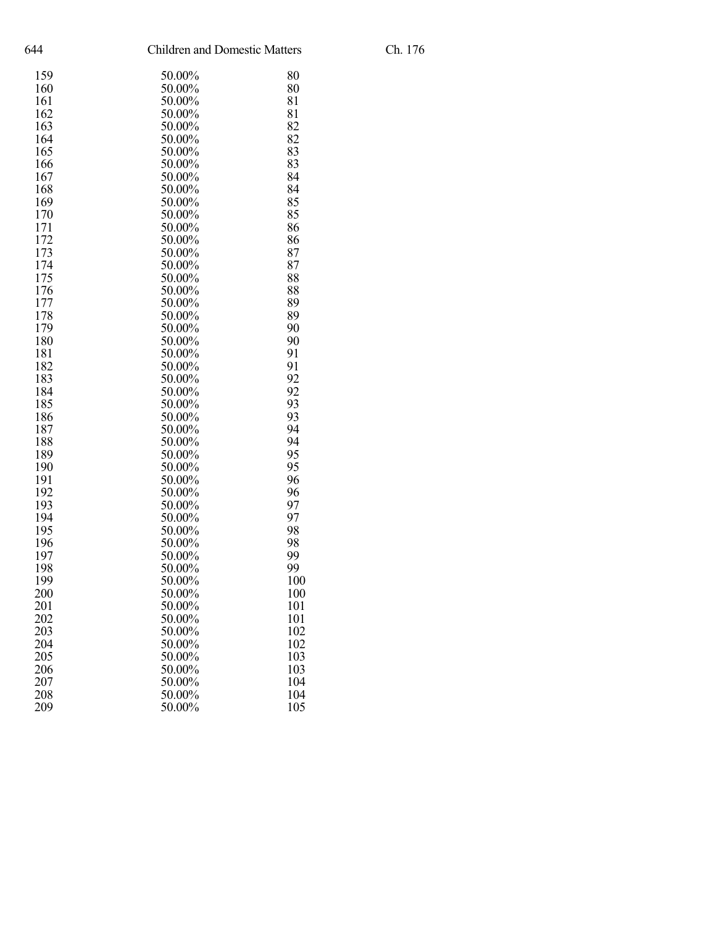| 644<br><b>Children and Domestic Matters</b> |        |     |
|---------------------------------------------|--------|-----|
| 159                                         | 50.00% | 80  |
| 160                                         | 50.00% | 80  |
| 161                                         | 50.00% | 81  |
| 162                                         | 50.00% | 81  |
| 163                                         | 50.00% | 82  |
| 164                                         | 50.00% | 82  |
| 165                                         | 50.00% | 83  |
| 166                                         | 50.00% | 83  |
| 167                                         | 50.00% | 84  |
| 168                                         | 50.00% | 84  |
| 169                                         | 50.00% | 85  |
| 170                                         | 50.00% | 85  |
| 171                                         | 50.00% | 86  |
| 172                                         | 50.00% | 86  |
| 173                                         | 50.00% | 87  |
| 174                                         | 50.00% | 87  |
| 175                                         | 50.00% | 88  |
| 176                                         | 50.00% | 88  |
|                                             |        |     |
| 177                                         | 50.00% | 89  |
| 178                                         | 50.00% | 89  |
| 179                                         | 50.00% | 90  |
| 180                                         | 50.00% | 90  |
| 181                                         | 50.00% | 91  |
| 182                                         | 50.00% | 91  |
| 183                                         | 50.00% | 92  |
| 184                                         | 50.00% | 92  |
| 185                                         | 50.00% | 93  |
| 186                                         | 50.00% | 93  |
| 187                                         | 50.00% | 94  |
| 188                                         | 50.00% | 94  |
| 189                                         | 50.00% | 95  |
| 190                                         | 50.00% | 95  |
| 191                                         | 50.00% | 96  |
| 192                                         | 50.00% | 96  |
| 193                                         | 50.00% | 97  |
| 194                                         | 50.00% | 97  |
| 195                                         | 50.00% | 98  |
| 196                                         | 50.00% | 98  |
| 197                                         | 50.00% | 99  |
| 198                                         | 50.00% | 99  |
| 199                                         | 50.00% | 100 |
| 200                                         | 50.00% | 100 |
| 201                                         | 50.00% | 101 |
| 202                                         | 50.00% | 101 |
| 203                                         | 50.00% | 102 |
| 204                                         | 50.00% | 102 |
| 205                                         | 50.00% | 103 |
| 206                                         | 50.00% | 103 |
| 207                                         | 50.00% | 104 |
| 208                                         | 50.00% | 104 |
| 209                                         | 50.00% | 105 |
|                                             |        |     |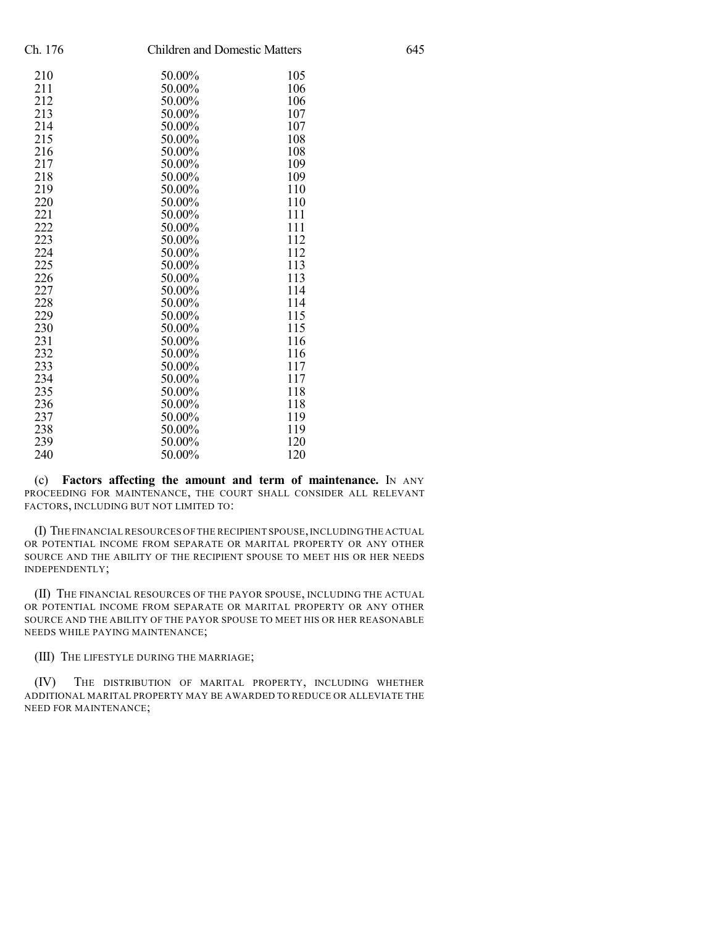| Ch. 176 | <b>Children and Domestic Matters</b> |     | 645 |
|---------|--------------------------------------|-----|-----|
| 210     | 50.00%                               | 105 |     |
| 211     | 50.00%                               | 106 |     |
| 212     | 50.00%                               | 106 |     |
| 213     | 50.00%                               | 107 |     |
| 214     | 50.00%                               | 107 |     |
| 215     | 50.00%                               | 108 |     |
| 216     | 50.00%                               | 108 |     |
| 217     | 50.00%                               | 109 |     |
| 218     | 50.00%                               | 109 |     |
| 219     | 50.00%                               | 110 |     |
| 220     | 50.00%                               | 110 |     |
| 221     | 50.00%                               | 111 |     |
| 222     | 50.00%                               | 111 |     |
| 223     | 50.00%                               | 112 |     |
| 224     | 50.00%                               | 112 |     |
| 225     | 50.00%                               | 113 |     |
| 226     | 50.00%                               | 113 |     |
| 227     | 50.00%                               | 114 |     |
| 228     | 50.00%                               | 114 |     |
| 229     | 50.00%                               | 115 |     |
| 230     | 50.00%                               | 115 |     |
| 231     | 50.00%                               | 116 |     |
| 232     | 50.00%                               | 116 |     |
| 233     | 50.00%                               | 117 |     |
| 234     | 50.00%                               | 117 |     |
| 235     | 50.00%                               | 118 |     |
| 236     | 50.00%                               | 118 |     |
| 237     | 50.00%                               | 119 |     |
| 238     | 50.00%                               | 119 |     |
| 239     | 50.00%                               | 120 |     |
| 240     | 50.00%                               | 120 |     |
|         |                                      |     |     |

(c) **Factors affecting the amount and term of maintenance.** IN ANY PROCEEDING FOR MAINTENANCE, THE COURT SHALL CONSIDER ALL RELEVANT FACTORS, INCLUDING BUT NOT LIMITED TO:

(I) THE FINANCIAL RESOURCES OF THE RECIPIENT SPOUSE,INCLUDING THE ACTUAL OR POTENTIAL INCOME FROM SEPARATE OR MARITAL PROPERTY OR ANY OTHER SOURCE AND THE ABILITY OF THE RECIPIENT SPOUSE TO MEET HIS OR HER NEEDS INDEPENDENTLY;

(II) THE FINANCIAL RESOURCES OF THE PAYOR SPOUSE, INCLUDING THE ACTUAL OR POTENTIAL INCOME FROM SEPARATE OR MARITAL PROPERTY OR ANY OTHER SOURCE AND THE ABILITY OF THE PAYOR SPOUSE TO MEET HIS OR HER REASONABLE NEEDS WHILE PAYING MAINTENANCE;

(III) THE LIFESTYLE DURING THE MARRIAGE;

(IV) THE DISTRIBUTION OF MARITAL PROPERTY, INCLUDING WHETHER ADDITIONAL MARITAL PROPERTY MAY BE AWARDED TO REDUCE OR ALLEVIATE THE NEED FOR MAINTENANCE;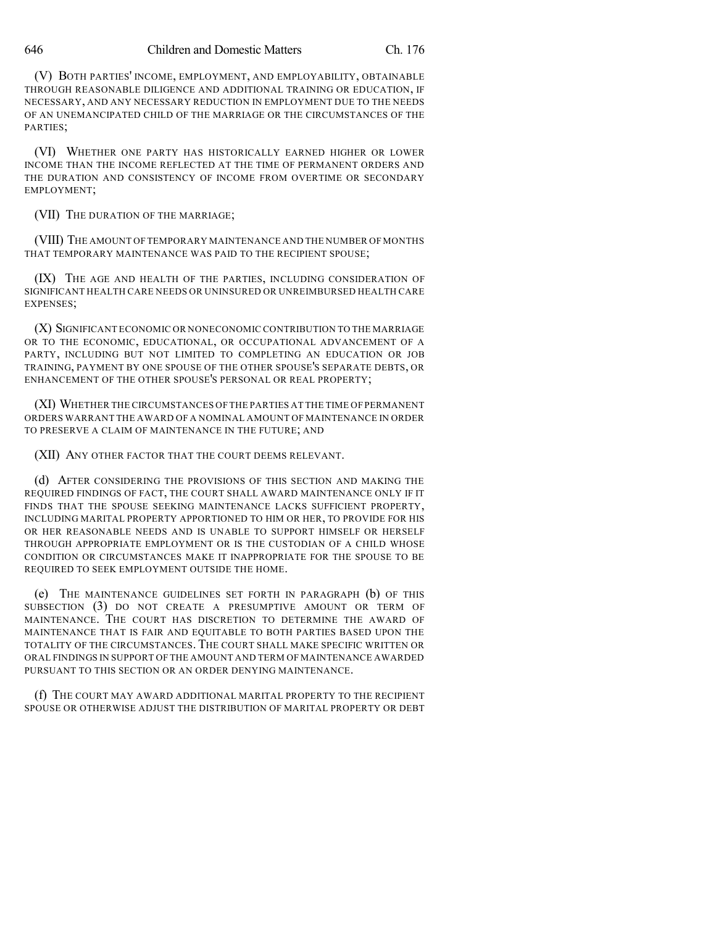(V) BOTH PARTIES' INCOME, EMPLOYMENT, AND EMPLOYABILITY, OBTAINABLE THROUGH REASONABLE DILIGENCE AND ADDITIONAL TRAINING OR EDUCATION, IF NECESSARY, AND ANY NECESSARY REDUCTION IN EMPLOYMENT DUE TO THE NEEDS OF AN UNEMANCIPATED CHILD OF THE MARRIAGE OR THE CIRCUMSTANCES OF THE PARTIES;

(VI) WHETHER ONE PARTY HAS HISTORICALLY EARNED HIGHER OR LOWER INCOME THAN THE INCOME REFLECTED AT THE TIME OF PERMANENT ORDERS AND THE DURATION AND CONSISTENCY OF INCOME FROM OVERTIME OR SECONDARY EMPLOYMENT;

(VII) THE DURATION OF THE MARRIAGE;

(VIII) THE AMOUNT OF TEMPORARY MAINTENANCE AND THE NUMBER OF MONTHS THAT TEMPORARY MAINTENANCE WAS PAID TO THE RECIPIENT SPOUSE;

(IX) THE AGE AND HEALTH OF THE PARTIES, INCLUDING CONSIDERATION OF SIGNIFICANT HEALTH CARE NEEDS OR UNINSURED OR UNREIMBURSED HEALTH CARE EXPENSES;

(X) SIGNIFICANT ECONOMIC OR NONECONOMIC CONTRIBUTION TO THE MARRIAGE OR TO THE ECONOMIC, EDUCATIONAL, OR OCCUPATIONAL ADVANCEMENT OF A PARTY, INCLUDING BUT NOT LIMITED TO COMPLETING AN EDUCATION OR JOB TRAINING, PAYMENT BY ONE SPOUSE OF THE OTHER SPOUSE'S SEPARATE DEBTS, OR ENHANCEMENT OF THE OTHER SPOUSE'S PERSONAL OR REAL PROPERTY;

(XI) WHETHER THE CIRCUMSTANCES OF THE PARTIES AT THE TIME OF PERMANENT ORDERS WARRANT THE AWARD OF A NOMINAL AMOUNT OF MAINTENANCE IN ORDER TO PRESERVE A CLAIM OF MAINTENANCE IN THE FUTURE; AND

(XII) ANY OTHER FACTOR THAT THE COURT DEEMS RELEVANT.

(d) AFTER CONSIDERING THE PROVISIONS OF THIS SECTION AND MAKING THE REQUIRED FINDINGS OF FACT, THE COURT SHALL AWARD MAINTENANCE ONLY IF IT FINDS THAT THE SPOUSE SEEKING MAINTENANCE LACKS SUFFICIENT PROPERTY, INCLUDING MARITAL PROPERTY APPORTIONED TO HIM OR HER, TO PROVIDE FOR HIS OR HER REASONABLE NEEDS AND IS UNABLE TO SUPPORT HIMSELF OR HERSELF THROUGH APPROPRIATE EMPLOYMENT OR IS THE CUSTODIAN OF A CHILD WHOSE CONDITION OR CIRCUMSTANCES MAKE IT INAPPROPRIATE FOR THE SPOUSE TO BE REQUIRED TO SEEK EMPLOYMENT OUTSIDE THE HOME.

(e) THE MAINTENANCE GUIDELINES SET FORTH IN PARAGRAPH (b) OF THIS SUBSECTION (3) DO NOT CREATE A PRESUMPTIVE AMOUNT OR TERM OF MAINTENANCE. THE COURT HAS DISCRETION TO DETERMINE THE AWARD OF MAINTENANCE THAT IS FAIR AND EQUITABLE TO BOTH PARTIES BASED UPON THE TOTALITY OF THE CIRCUMSTANCES. THE COURT SHALL MAKE SPECIFIC WRITTEN OR ORAL FINDINGS IN SUPPORT OF THE AMOUNT AND TERM OF MAINTENANCE AWARDED PURSUANT TO THIS SECTION OR AN ORDER DENYING MAINTENANCE.

(f) THE COURT MAY AWARD ADDITIONAL MARITAL PROPERTY TO THE RECIPIENT SPOUSE OR OTHERWISE ADJUST THE DISTRIBUTION OF MARITAL PROPERTY OR DEBT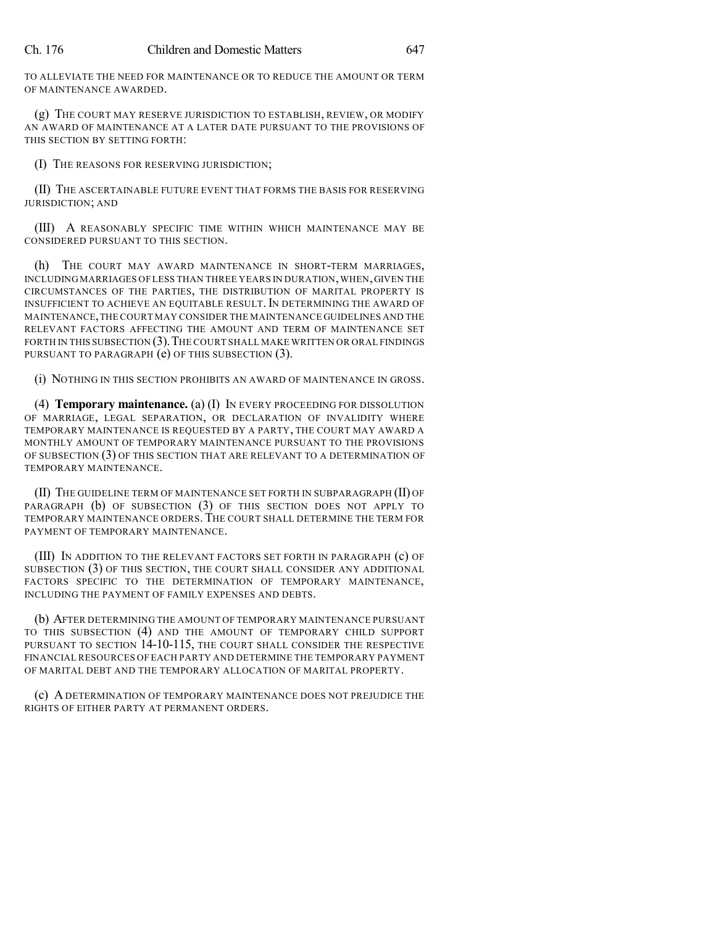TO ALLEVIATE THE NEED FOR MAINTENANCE OR TO REDUCE THE AMOUNT OR TERM OF MAINTENANCE AWARDED.

(g) THE COURT MAY RESERVE JURISDICTION TO ESTABLISH, REVIEW, OR MODIFY AN AWARD OF MAINTENANCE AT A LATER DATE PURSUANT TO THE PROVISIONS OF THIS SECTION BY SETTING FORTH:

(I) THE REASONS FOR RESERVING JURISDICTION;

(II) THE ASCERTAINABLE FUTURE EVENT THAT FORMS THE BASIS FOR RESERVING JURISDICTION; AND

(III) A REASONABLY SPECIFIC TIME WITHIN WHICH MAINTENANCE MAY BE CONSIDERED PURSUANT TO THIS SECTION.

(h) THE COURT MAY AWARD MAINTENANCE IN SHORT-TERM MARRIAGES, INCLUDING MARRIAGES OF LESS THAN THREE YEARS IN DURATION,WHEN,GIVEN THE CIRCUMSTANCES OF THE PARTIES, THE DISTRIBUTION OF MARITAL PROPERTY IS INSUFFICIENT TO ACHIEVE AN EQUITABLE RESULT. IN DETERMINING THE AWARD OF MAINTENANCE,THE COURT MAY CONSIDER THE MAINTENANCE GUIDELINES AND THE RELEVANT FACTORS AFFECTING THE AMOUNT AND TERM OF MAINTENANCE SET FORTH IN THIS SUBSECTION (3). THE COURT SHALL MAKE WRITTEN OR ORAL FINDINGS PURSUANT TO PARAGRAPH (e) OF THIS SUBSECTION (3).

(i) NOTHING IN THIS SECTION PROHIBITS AN AWARD OF MAINTENANCE IN GROSS.

(4) **Temporary maintenance.** (a) (I) IN EVERY PROCEEDING FOR DISSOLUTION OF MARRIAGE, LEGAL SEPARATION, OR DECLARATION OF INVALIDITY WHERE TEMPORARY MAINTENANCE IS REQUESTED BY A PARTY, THE COURT MAY AWARD A MONTHLY AMOUNT OF TEMPORARY MAINTENANCE PURSUANT TO THE PROVISIONS OF SUBSECTION (3) OF THIS SECTION THAT ARE RELEVANT TO A DETERMINATION OF TEMPORARY MAINTENANCE.

(II) THE GUIDELINE TERM OF MAINTENANCE SET FORTH IN SUBPARAGRAPH (II) OF PARAGRAPH (b) OF SUBSECTION (3) OF THIS SECTION DOES NOT APPLY TO TEMPORARY MAINTENANCE ORDERS.THE COURT SHALL DETERMINE THE TERM FOR PAYMENT OF TEMPORARY MAINTENANCE.

(III) IN ADDITION TO THE RELEVANT FACTORS SET FORTH IN PARAGRAPH (c) OF SUBSECTION (3) OF THIS SECTION, THE COURT SHALL CONSIDER ANY ADDITIONAL FACTORS SPECIFIC TO THE DETERMINATION OF TEMPORARY MAINTENANCE, INCLUDING THE PAYMENT OF FAMILY EXPENSES AND DEBTS.

(b) AFTER DETERMINING THE AMOUNT OF TEMPORARY MAINTENANCE PURSUANT TO THIS SUBSECTION (4) AND THE AMOUNT OF TEMPORARY CHILD SUPPORT PURSUANT TO SECTION 14-10-115, THE COURT SHALL CONSIDER THE RESPECTIVE FINANCIAL RESOURCES OF EACH PARTY AND DETERMINE THE TEMPORARY PAYMENT OF MARITAL DEBT AND THE TEMPORARY ALLOCATION OF MARITAL PROPERTY.

(c) A DETERMINATION OF TEMPORARY MAINTENANCE DOES NOT PREJUDICE THE RIGHTS OF EITHER PARTY AT PERMANENT ORDERS.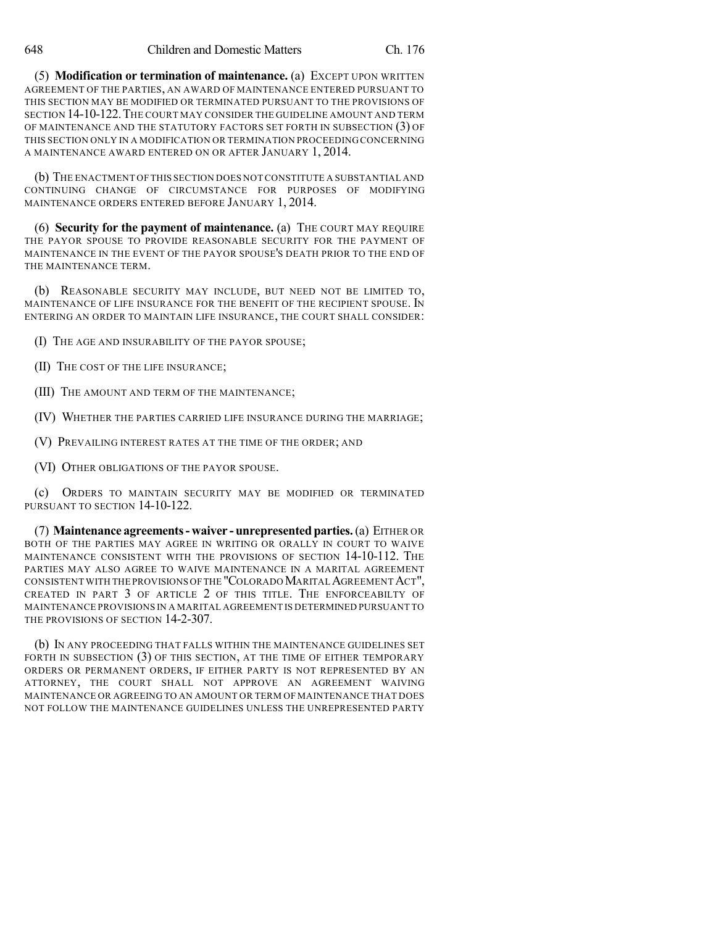(5) **Modification or termination of maintenance.** (a) EXCEPT UPON WRITTEN AGREEMENT OF THE PARTIES, AN AWARD OF MAINTENANCE ENTERED PURSUANT TO THIS SECTION MAY BE MODIFIED OR TERMINATED PURSUANT TO THE PROVISIONS OF SECTION 14-10-122.THE COURT MAY CONSIDER THE GUIDELINE AMOUNT AND TERM OF MAINTENANCE AND THE STATUTORY FACTORS SET FORTH IN SUBSECTION (3) OF THIS SECTION ONLY IN A MODIFICATION OR TERMINATION PROCEEDING CONCERNING A MAINTENANCE AWARD ENTERED ON OR AFTER JANUARY 1, 2014.

(b) THE ENACTMENT OF THIS SECTION DOES NOT CONSTITUTE A SUBSTANTIAL AND CONTINUING CHANGE OF CIRCUMSTANCE FOR PURPOSES OF MODIFYING MAINTENANCE ORDERS ENTERED BEFORE JANUARY 1, 2014.

(6) **Security for the payment of maintenance.** (a) THE COURT MAY REQUIRE THE PAYOR SPOUSE TO PROVIDE REASONABLE SECURITY FOR THE PAYMENT OF MAINTENANCE IN THE EVENT OF THE PAYOR SPOUSE'S DEATH PRIOR TO THE END OF THE MAINTENANCE TERM.

(b) REASONABLE SECURITY MAY INCLUDE, BUT NEED NOT BE LIMITED TO, MAINTENANCE OF LIFE INSURANCE FOR THE BENEFIT OF THE RECIPIENT SPOUSE. IN ENTERING AN ORDER TO MAINTAIN LIFE INSURANCE, THE COURT SHALL CONSIDER:

(I) THE AGE AND INSURABILITY OF THE PAYOR SPOUSE;

(II) THE COST OF THE LIFE INSURANCE;

(III) THE AMOUNT AND TERM OF THE MAINTENANCE;

(IV) WHETHER THE PARTIES CARRIED LIFE INSURANCE DURING THE MARRIAGE;

(V) PREVAILING INTEREST RATES AT THE TIME OF THE ORDER; AND

(VI) OTHER OBLIGATIONS OF THE PAYOR SPOUSE.

(c) ORDERS TO MAINTAIN SECURITY MAY BE MODIFIED OR TERMINATED PURSUANT TO SECTION 14-10-122.

(7) **Maintenance agreements- waiver - unrepresented parties.**(a) EITHER OR BOTH OF THE PARTIES MAY AGREE IN WRITING OR ORALLY IN COURT TO WAIVE MAINTENANCE CONSISTENT WITH THE PROVISIONS OF SECTION 14-10-112. THE PARTIES MAY ALSO AGREE TO WAIVE MAINTENANCE IN A MARITAL AGREEMENT CONSISTENT WITH THE PROVISIONS OFTHE "COLORADOMARITAL AGREEMENTACT", CREATED IN PART 3 OF ARTICLE 2 OF THIS TITLE. THE ENFORCEABILTY OF MAINTENANCE PROVISIONS IN A MARITAL AGREEMENT IS DETERMINED PURSUANT TO THE PROVISIONS OF SECTION 14-2-307.

(b) IN ANY PROCEEDING THAT FALLS WITHIN THE MAINTENANCE GUIDELINES SET FORTH IN SUBSECTION (3) OF THIS SECTION, AT THE TIME OF EITHER TEMPORARY ORDERS OR PERMANENT ORDERS, IF EITHER PARTY IS NOT REPRESENTED BY AN ATTORNEY, THE COURT SHALL NOT APPROVE AN AGREEMENT WAIVING MAINTENANCE OR AGREEING TO AN AMOUNT OR TERM OF MAINTENANCE THAT DOES NOT FOLLOW THE MAINTENANCE GUIDELINES UNLESS THE UNREPRESENTED PARTY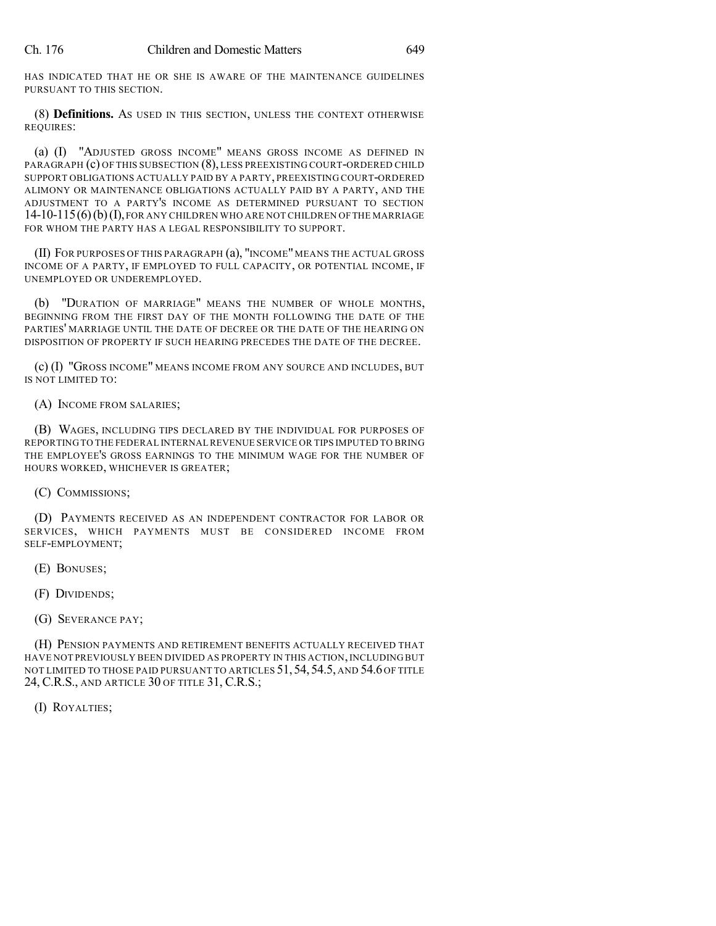HAS INDICATED THAT HE OR SHE IS AWARE OF THE MAINTENANCE GUIDELINES PURSUANT TO THIS SECTION.

(8) **Definitions.** AS USED IN THIS SECTION, UNLESS THE CONTEXT OTHERWISE REQUIRES:

(a) (I) "ADJUSTED GROSS INCOME" MEANS GROSS INCOME AS DEFINED IN PARAGRAPH (c) OF THIS SUBSECTION (8), LESS PREEXISTING COURT-ORDERED CHILD SUPPORT OBLIGATIONS ACTUALLY PAID BY A PARTY, PREEXISTING COURT-ORDERED ALIMONY OR MAINTENANCE OBLIGATIONS ACTUALLY PAID BY A PARTY, AND THE ADJUSTMENT TO A PARTY'S INCOME AS DETERMINED PURSUANT TO SECTION 14-10-115(6)(b)(I),FOR ANY CHILDREN WHO ARE NOT CHILDREN OF THE MARRIAGE FOR WHOM THE PARTY HAS A LEGAL RESPONSIBILITY TO SUPPORT.

(II) FOR PURPOSES OF THIS PARAGRAPH (a), "INCOME"MEANS THE ACTUAL GROSS INCOME OF A PARTY, IF EMPLOYED TO FULL CAPACITY, OR POTENTIAL INCOME, IF UNEMPLOYED OR UNDEREMPLOYED.

(b) "DURATION OF MARRIAGE" MEANS THE NUMBER OF WHOLE MONTHS, BEGINNING FROM THE FIRST DAY OF THE MONTH FOLLOWING THE DATE OF THE PARTIES' MARRIAGE UNTIL THE DATE OF DECREE OR THE DATE OF THE HEARING ON DISPOSITION OF PROPERTY IF SUCH HEARING PRECEDES THE DATE OF THE DECREE.

(c) (I) "GROSS INCOME" MEANS INCOME FROM ANY SOURCE AND INCLUDES, BUT IS NOT LIMITED TO:

(A) INCOME FROM SALARIES;

(B) WAGES, INCLUDING TIPS DECLARED BY THE INDIVIDUAL FOR PURPOSES OF REPORTING TO THE FEDERAL INTERNAL REVENUE SERVICE OR TIPS IMPUTED TO BRING THE EMPLOYEE'S GROSS EARNINGS TO THE MINIMUM WAGE FOR THE NUMBER OF HOURS WORKED, WHICHEVER IS GREATER;

(C) COMMISSIONS;

(D) PAYMENTS RECEIVED AS AN INDEPENDENT CONTRACTOR FOR LABOR OR SERVICES, WHICH PAYMENTS MUST BE CONSIDERED INCOME FROM SELF-EMPLOYMENT;

- (E) BONUSES;
- (F) DIVIDENDS;
- (G) SEVERANCE PAY;

(H) PENSION PAYMENTS AND RETIREMENT BENEFITS ACTUALLY RECEIVED THAT HAVE NOT PREVIOUSLY BEEN DIVIDED AS PROPERTY IN THIS ACTION,INCLUDING BUT NOT LIMITED TO THOSE PAID PURSUANT TO ARTICLES 51, 54, 54.5, AND 54.6 OF TITLE 24, C.R.S., AND ARTICLE 30 OF TITLE 31, C.R.S.;

(I) ROYALTIES;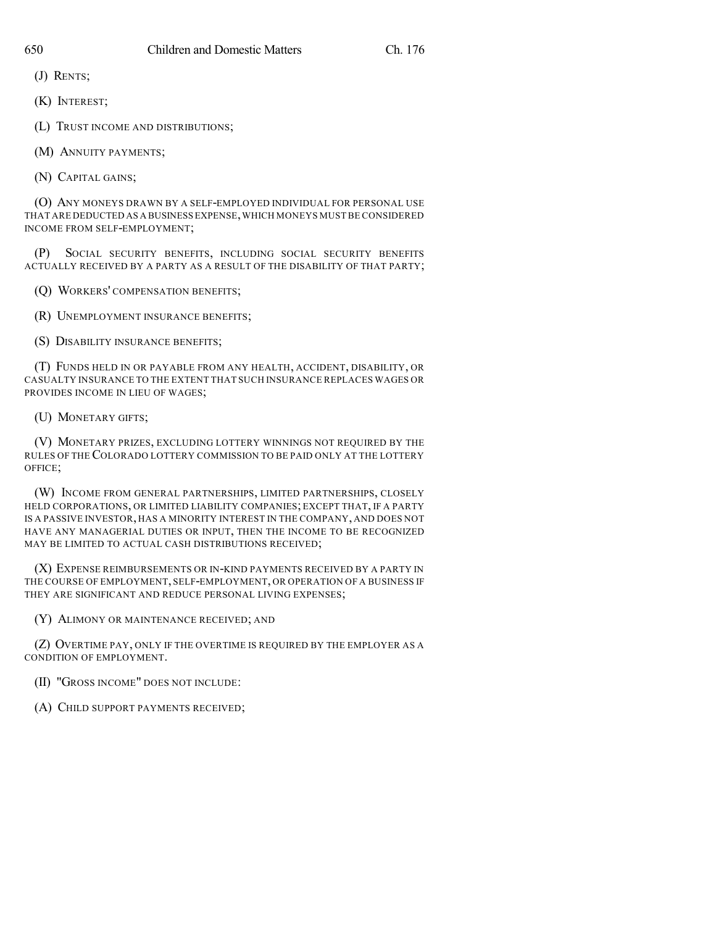(J) RENTS;

(K) INTEREST;

(L) TRUST INCOME AND DISTRIBUTIONS;

(M) ANNUITY PAYMENTS;

(N) CAPITAL GAINS;

(O) ANY MONEYS DRAWN BY A SELF-EMPLOYED INDIVIDUAL FOR PERSONAL USE THAT ARE DEDUCTED AS A BUSINESS EXPENSE,WHICH MONEYS MUST BE CONSIDERED INCOME FROM SELF-EMPLOYMENT;

(P) SOCIAL SECURITY BENEFITS, INCLUDING SOCIAL SECURITY BENEFITS ACTUALLY RECEIVED BY A PARTY AS A RESULT OF THE DISABILITY OF THAT PARTY;

(Q) WORKERS' COMPENSATION BENEFITS;

(R) UNEMPLOYMENT INSURANCE BENEFITS;

(S) DISABILITY INSURANCE BENEFITS;

(T) FUNDS HELD IN OR PAYABLE FROM ANY HEALTH, ACCIDENT, DISABILITY, OR CASUALTY INSURANCE TO THE EXTENT THAT SUCH INSURANCE REPLACES WAGES OR PROVIDES INCOME IN LIEU OF WAGES;

(U) MONETARY GIFTS;

(V) MONETARY PRIZES, EXCLUDING LOTTERY WINNINGS NOT REQUIRED BY THE RULES OF THE COLORADO LOTTERY COMMISSION TO BE PAID ONLY AT THE LOTTERY OFFICE;

(W) INCOME FROM GENERAL PARTNERSHIPS, LIMITED PARTNERSHIPS, CLOSELY HELD CORPORATIONS, OR LIMITED LIABILITY COMPANIES; EXCEPT THAT, IF A PARTY IS A PASSIVE INVESTOR, HAS A MINORITY INTEREST IN THE COMPANY, AND DOES NOT HAVE ANY MANAGERIAL DUTIES OR INPUT, THEN THE INCOME TO BE RECOGNIZED MAY BE LIMITED TO ACTUAL CASH DISTRIBUTIONS RECEIVED;

(X) EXPENSE REIMBURSEMENTS OR IN-KIND PAYMENTS RECEIVED BY A PARTY IN THE COURSE OF EMPLOYMENT, SELF-EMPLOYMENT, OR OPERATION OF A BUSINESS IF THEY ARE SIGNIFICANT AND REDUCE PERSONAL LIVING EXPENSES;

(Y) ALIMONY OR MAINTENANCE RECEIVED; AND

(Z) OVERTIME PAY, ONLY IF THE OVERTIME IS REQUIRED BY THE EMPLOYER AS A CONDITION OF EMPLOYMENT.

(II) "GROSS INCOME" DOES NOT INCLUDE:

(A) CHILD SUPPORT PAYMENTS RECEIVED;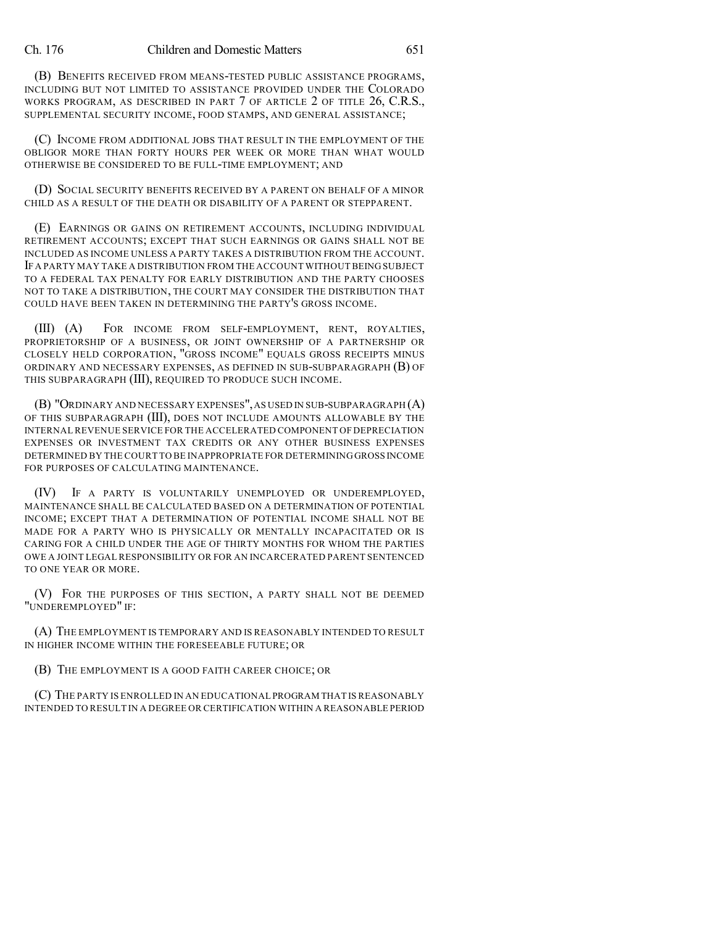(B) BENEFITS RECEIVED FROM MEANS-TESTED PUBLIC ASSISTANCE PROGRAMS, INCLUDING BUT NOT LIMITED TO ASSISTANCE PROVIDED UNDER THE COLORADO WORKS PROGRAM, AS DESCRIBED IN PART 7 OF ARTICLE 2 OF TITLE 26, C.R.S., SUPPLEMENTAL SECURITY INCOME, FOOD STAMPS, AND GENERAL ASSISTANCE;

(C) INCOME FROM ADDITIONAL JOBS THAT RESULT IN THE EMPLOYMENT OF THE OBLIGOR MORE THAN FORTY HOURS PER WEEK OR MORE THAN WHAT WOULD OTHERWISE BE CONSIDERED TO BE FULL-TIME EMPLOYMENT; AND

(D) SOCIAL SECURITY BENEFITS RECEIVED BY A PARENT ON BEHALF OF A MINOR CHILD AS A RESULT OF THE DEATH OR DISABILITY OF A PARENT OR STEPPARENT.

(E) EARNINGS OR GAINS ON RETIREMENT ACCOUNTS, INCLUDING INDIVIDUAL RETIREMENT ACCOUNTS; EXCEPT THAT SUCH EARNINGS OR GAINS SHALL NOT BE INCLUDED AS INCOME UNLESS A PARTY TAKES A DISTRIBUTION FROM THE ACCOUNT. IF A PARTY MAY TAKE A DISTRIBUTION FROM THE ACCOUNT WITHOUT BEING SUBJECT TO A FEDERAL TAX PENALTY FOR EARLY DISTRIBUTION AND THE PARTY CHOOSES NOT TO TAKE A DISTRIBUTION, THE COURT MAY CONSIDER THE DISTRIBUTION THAT COULD HAVE BEEN TAKEN IN DETERMINING THE PARTY'S GROSS INCOME.

(III) (A) FOR INCOME FROM SELF-EMPLOYMENT, RENT, ROYALTIES, PROPRIETORSHIP OF A BUSINESS, OR JOINT OWNERSHIP OF A PARTNERSHIP OR CLOSELY HELD CORPORATION, "GROSS INCOME" EQUALS GROSS RECEIPTS MINUS ORDINARY AND NECESSARY EXPENSES, AS DEFINED IN SUB-SUBPARAGRAPH (B) OF THIS SUBPARAGRAPH (III), REQUIRED TO PRODUCE SUCH INCOME.

(B) "ORDINARY AND NECESSARY EXPENSES",AS USED IN SUB-SUBPARAGRAPH (A) OF THIS SUBPARAGRAPH (III), DOES NOT INCLUDE AMOUNTS ALLOWABLE BY THE INTERNAL REVENUE SERVICE FOR THE ACCELERATED COMPONENT OF DEPRECIATION EXPENSES OR INVESTMENT TAX CREDITS OR ANY OTHER BUSINESS EXPENSES DETERMINED BY THE COURT TO BE INAPPROPRIATE FOR DETERMINING GROSS INCOME FOR PURPOSES OF CALCULATING MAINTENANCE.

(IV) IF A PARTY IS VOLUNTARILY UNEMPLOYED OR UNDEREMPLOYED, MAINTENANCE SHALL BE CALCULATED BASED ON A DETERMINATION OF POTENTIAL INCOME; EXCEPT THAT A DETERMINATION OF POTENTIAL INCOME SHALL NOT BE MADE FOR A PARTY WHO IS PHYSICALLY OR MENTALLY INCAPACITATED OR IS CARING FOR A CHILD UNDER THE AGE OF THIRTY MONTHS FOR WHOM THE PARTIES OWE A JOINT LEGAL RESPONSIBILITY OR FOR AN INCARCERATED PARENT SENTENCED TO ONE YEAR OR MORE.

(V) FOR THE PURPOSES OF THIS SECTION, A PARTY SHALL NOT BE DEEMED "UNDEREMPLOYED" IF:

(A) THE EMPLOYMENT IS TEMPORARY AND IS REASONABLY INTENDED TO RESULT IN HIGHER INCOME WITHIN THE FORESEEABLE FUTURE; OR

(B) THE EMPLOYMENT IS A GOOD FAITH CAREER CHOICE; OR

(C) THE PARTY IS ENROLLED IN AN EDUCATIONAL PROGRAM THAT IS REASONABLY INTENDED TO RESULT IN A DEGREE OR CERTIFICATION WITHIN A REASONABLE PERIOD